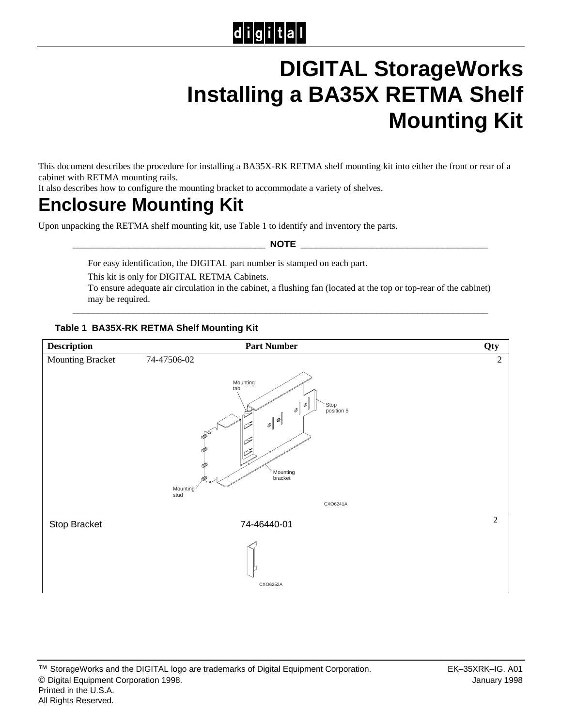# $|d|i|g|i|t|a|l$

# **DIGITAL StorageWorks Installing a BA35X RETMA Shelf Mounting Kit**

This document describes the procedure for installing a BA35X-RK RETMA shelf mounting kit into either the front or rear of a cabinet with RETMA mounting rails.

It also describes how to configure the mounting bracket to accommodate a variety of shelves.

## **Enclosure Mounting Kit**

Upon unpacking the RETMA shelf mounting kit, use Table 1 to identify and inventory the parts.

**\_\_\_\_\_\_\_\_\_\_\_\_\_\_\_\_\_\_\_\_\_\_\_\_\_\_\_\_\_\_\_\_\_\_\_\_\_\_ NOTE \_\_\_\_\_\_\_\_\_\_\_\_\_\_\_\_\_\_\_\_\_\_\_\_\_\_\_\_\_\_\_\_\_\_\_\_\_**

For easy identification, the DIGITAL part number is stamped on each part.

This kit is only for DIGITAL RETMA Cabinets.

To ensure adequate air circulation in the cabinet, a flushing fan (located at the top or top-rear of the cabinet) may be required.

**\_\_\_\_\_\_\_\_\_\_\_\_\_\_\_\_\_\_\_\_\_\_\_\_\_\_\_\_\_\_\_\_\_\_\_\_\_\_\_\_\_\_\_\_\_\_\_\_\_\_\_\_\_\_\_\_\_\_\_\_\_\_\_\_\_\_\_\_\_\_\_\_\_\_\_\_\_\_\_\_\_\_**

#### **Table 1 BA35X-RK RETMA Shelf Mounting Kit**

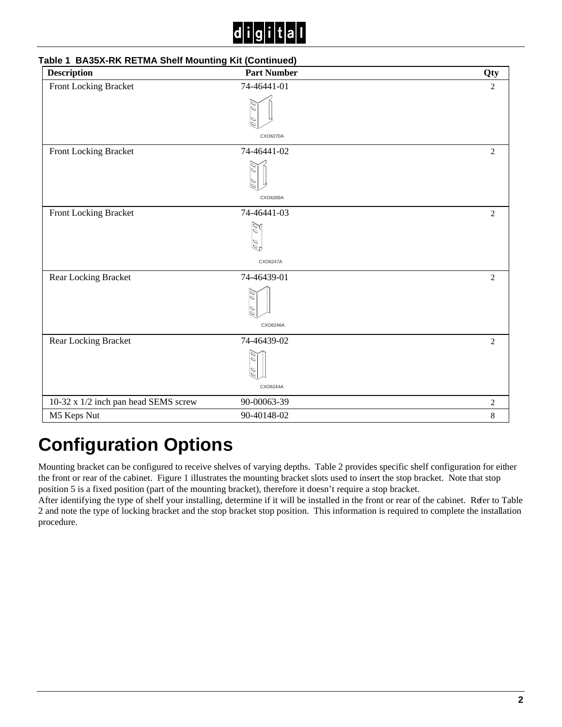# C

| <b>Description</b>                   | <b>Part Number</b> | Qty            |
|--------------------------------------|--------------------|----------------|
| Front Locking Bracket                | 74-46441-01        | $\overline{c}$ |
|                                      | ○                  |                |
|                                      | CXO6270A           |                |
| Front Locking Bracket                | 74-46441-02        | $\mathbf{2}$   |
|                                      | ○                  |                |
|                                      | CXO6269A           |                |
| Front Locking Bracket                | 74-46441-03        | $\overline{2}$ |
|                                      | Z<br>00            |                |
|                                      | CXO6247A           |                |
| Rear Locking Bracket                 | 74-46439-01        | 2              |
|                                      |                    |                |
|                                      | CXO6246A           |                |
| Rear Locking Bracket                 | 74-46439-02        | 2              |
|                                      |                    |                |
|                                      |                    |                |
|                                      | CXO6244A           |                |
| 10-32 x 1/2 inch pan head SEMS screw | 90-00063-39        | $\overline{c}$ |
| M5 Keps Nut                          | 90-40148-02        | 8              |

### **Table 1 BA35X-RK RETMA Shelf Mounting Kit (Continued)**

## **Configuration Options**

Mounting bracket can be configured to receive shelves of varying depths. Table 2 provides specific shelf configuration for either the front or rear of the cabinet. Figure 1 illustrates the mounting bracket slots used to insert the stop bracket. Note that stop position 5 is a fixed position (part of the mounting bracket), therefore it doesn't require a stop bracket.

After identifying the type of shelf your installing, determine if it will be installed in the front or rear of the cabinet. Refer to Table 2 and note the type of locking bracket and the stop bracket stop position. This information is required to complete the installation procedure.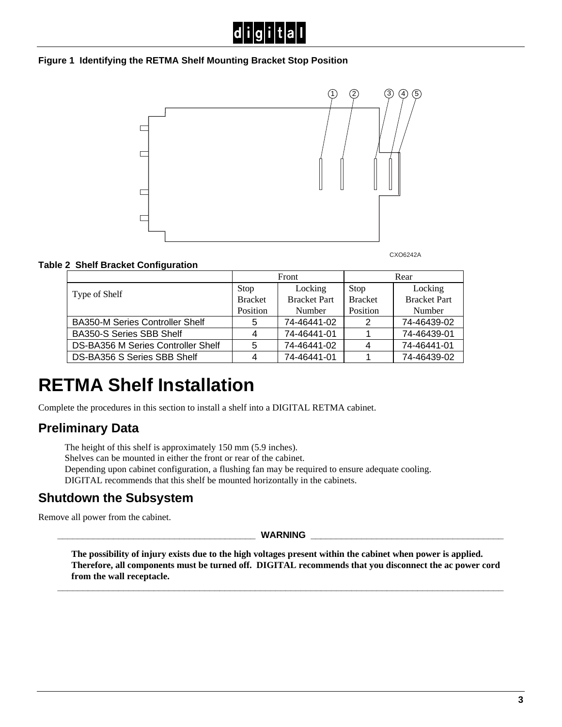

#### **Figure 1 Identifying the RETMA Shelf Mounting Bracket Stop Position**



CXO6242A

#### **Table 2 Shelf Bracket Configuration**

|                                        | Front          |                     | Rear           |                     |
|----------------------------------------|----------------|---------------------|----------------|---------------------|
| Type of Shelf                          | Stop           | Locking             | Stop           | Locking             |
|                                        | <b>Bracket</b> | <b>Bracket Part</b> | <b>Bracket</b> | <b>Bracket Part</b> |
|                                        | Position       | Number              | Position       | Number              |
| <b>BA350-M Series Controller Shelf</b> | 5              | 74-46441-02         | 2              | 74-46439-02         |
| <b>BA350-S Series SBB Shelf</b>        |                | 74-46441-01         |                | 74-46439-01         |
| DS-BA356 M Series Controller Shelf     |                | 74-46441-02         | 4              | 74-46441-01         |
| DS-BA356 S Series SBB Shelf            |                | 74-46441-01         |                | 74-46439-02         |

## **RETMA Shelf Installation**

Complete the procedures in this section to install a shelf into a DIGITAL RETMA cabinet.

### **Preliminary Data**

The height of this shelf is approximately 150 mm (5.9 inches).

Shelves can be mounted in either the front or rear of the cabinet.

Depending upon cabinet configuration, a flushing fan may be required to ensure adequate cooling. DIGITAL recommends that this shelf be mounted horizontally in the cabinets.

### **Shutdown the Subsystem**

Remove all power from the cabinet.

**\_\_\_\_\_\_\_\_\_\_\_\_\_\_\_\_\_\_\_\_\_\_\_\_\_\_\_\_\_\_\_\_\_\_\_\_\_\_\_ WARNING \_\_\_\_\_\_\_\_\_\_\_\_\_\_\_\_\_\_\_\_\_\_\_\_\_\_\_\_\_\_\_\_\_\_\_\_\_\_**

**The possibility of injury exists due to the high voltages present within the cabinet when power is applied. Therefore, all components must be turned off. DIGITAL recommends that you disconnect the ac power cord from the wall receptacle.**

**\_\_\_\_\_\_\_\_\_\_\_\_\_\_\_\_\_\_\_\_\_\_\_\_\_\_\_\_\_\_\_\_\_\_\_\_\_\_\_\_\_\_\_\_\_\_\_\_\_\_\_\_\_\_\_\_\_\_\_\_\_\_\_\_\_\_\_\_\_\_\_\_\_\_\_\_\_\_\_\_\_\_\_\_\_\_\_\_**